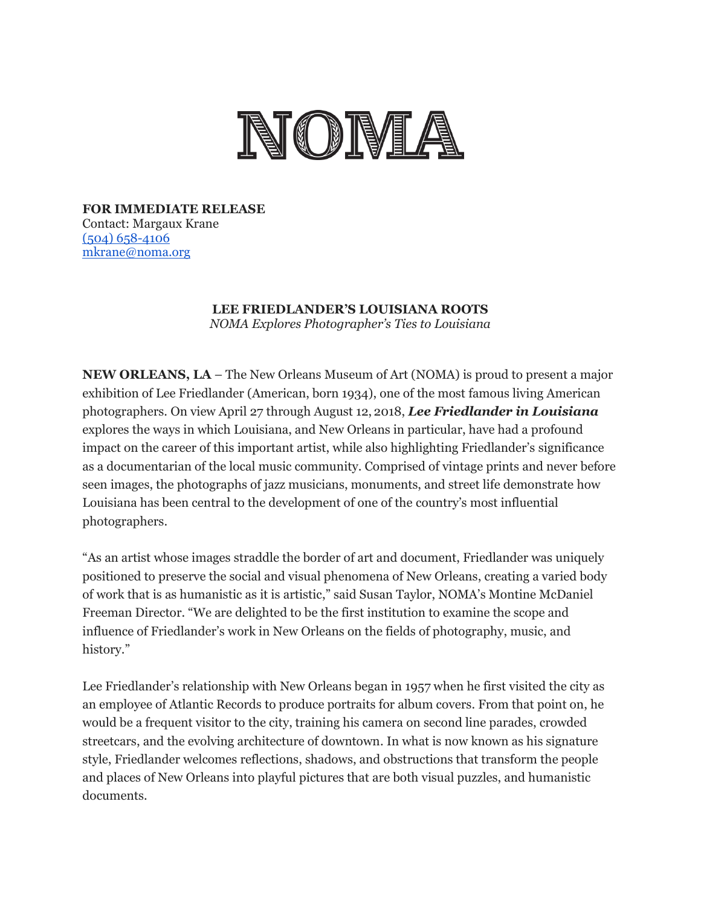

**FOR IMMEDIATE RELEASE** Contact: Margaux Krane [\(504\) 658-4106](tel:(504)%20658-4106) [mkrane@noma.org](mailto:mkrane@noma.org)

> **LEE FRIEDLANDER'S LOUISIANA ROOTS** *NOMA Explores Photographer's Ties to Louisiana*

**NEW ORLEANS, LA** – The New Orleans Museum of Art (NOMA) is proud to present a major exhibition of Lee Friedlander (American, born 1934), one of the most famous living American photographers. On view April 27 through August 12, 2018, *Lee Friedlander in Louisiana* explores the ways in which Louisiana, and New Orleans in particular, have had a profound impact on the career of this important artist, while also highlighting Friedlander's significance as a documentarian of the local music community. Comprised of vintage prints and never before seen images, the photographs of jazz musicians, monuments, and street life demonstrate how Louisiana has been central to the development of one of the country's most influential photographers.

"As an artist whose images straddle the border of art and document, Friedlander was uniquely positioned to preserve the social and visual phenomena of New Orleans, creating a varied body of work that is as humanistic as it is artistic," said Susan Taylor, NOMA's Montine McDaniel Freeman Director. "We are delighted to be the first institution to examine the scope and influence of Friedlander's work in New Orleans on the fields of photography, music, and history."

Lee Friedlander's relationship with New Orleans began in 1957 when he first visited the city as an employee of Atlantic Records to produce portraits for album covers. From that point on, he would be a frequent visitor to the city, training his camera on second line parades, crowded streetcars, and the evolving architecture of downtown. In what is now known as his signature style, Friedlander welcomes reflections, shadows, and obstructions that transform the people and places of New Orleans into playful pictures that are both visual puzzles, and humanistic documents.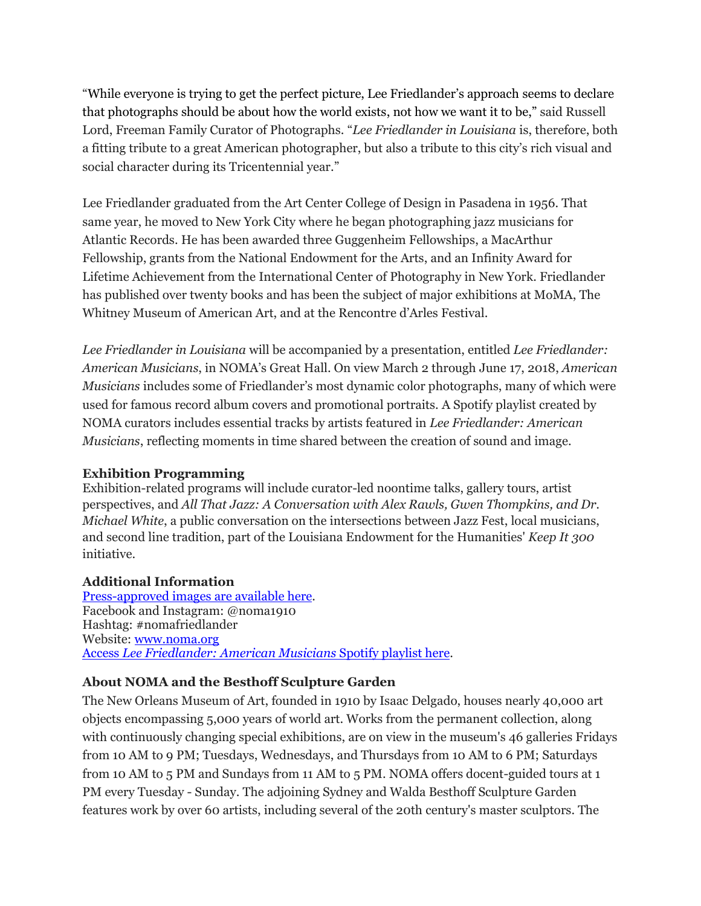"While everyone is trying to get the perfect picture, Lee Friedlander's approach seems to declare that photographs should be about how the world exists, not how we want it to be," said Russell Lord, Freeman Family Curator of Photographs. "*Lee Friedlander in Louisiana* is, therefore, both a fitting tribute to a great American photographer, but also a tribute to this city's rich visual and social character during its Tricentennial year."

Lee Friedlander graduated from the Art Center College of Design in Pasadena in 1956. That same year, he moved to New York City where he began photographing jazz musicians for Atlantic Records. He has been awarded three Guggenheim Fellowships, a MacArthur Fellowship, grants from the National Endowment for the Arts, and an Infinity Award for Lifetime Achievement from the International Center of Photography in New York. Friedlander has published over twenty books and has been the subject of major exhibitions at MoMA, The Whitney Museum of American Art, and at the Rencontre d'Arles Festival.

*Lee Friedlander in Louisiana* will be accompanied by a presentation, entitled *Lee Friedlander: American Musicians*, in NOMA's Great Hall. On view March 2 through June 17, 2018, *American Musicians* includes some of Friedlander's most dynamic color photographs, many of which were used for famous record album covers and promotional portraits. A Spotify playlist created by NOMA curators includes essential tracks by artists featured in *Lee Friedlander: American Musicians*, reflecting moments in time shared between the creation of sound and image.

## **Exhibition Programming**

Exhibition-related programs will include curator-led noontime talks, gallery tours, artist perspectives, and *All That Jazz: A Conversation with Alex Rawls, Gwen Thompkins, and Dr. Michael White*, a public conversation on the intersections between Jazz Fest, local musicians, and second line tradition, part of the Louisiana Endowment for the Humanities' *Keep It 300* initiative.

## **Additional Information**

[Press-approved images are](https://www.dropbox.com/sh/vg9pw33wnfkauiy/AAD_xpGQC3y4atbDMRrwE1tia?dl=0) available here. Facebook and Instagram: @noma1910 Hashtag: #nomafriedlander Website: [www.noma.org](http://www.noma.org/) Access *[Lee Friedlander: American Musicians](https://open.spotify.com/user/hd8tvc9anotikkzc9r7fi6e6f/playlist/6UHWgrAZa4UUUi13tEks0m?si=CXGHAP0pSySom3OHxk81EA)* Spotify playlist here.

## **About NOMA and the Besthoff Sculpture Garden**

The New Orleans Museum of Art, founded in 1910 by Isaac Delgado, houses nearly 40,000 art objects encompassing 5,000 years of world art. Works from the permanent collection, along with continuously changing special exhibitions, are on view in the museum's 46 galleries Fridays from 10 AM to 9 PM; Tuesdays, Wednesdays, and Thursdays from 10 AM to 6 PM; Saturdays from 10 AM to 5 PM and Sundays from 11 AM to 5 PM. NOMA offers docent-guided tours at 1 PM every Tuesday - Sunday. The adjoining Sydney and Walda Besthoff Sculpture Garden features work by over 60 artists, including several of the 20th century's master sculptors. The